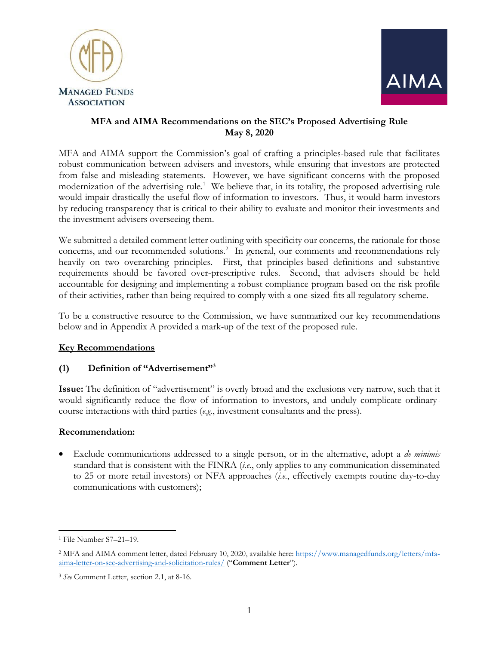



# **MFA and AIMA Recommendations on the SEC's Proposed Advertising Rule May 8, 2020**

MFA and AIMA support the Commission's goal of crafting a principles-based rule that facilitates robust communication between advisers and investors, while ensuring that investors are protected from false and misleading statements. However, we have significant concerns with the proposed modernization of the advertising rule.<sup>1</sup> We believe that, in its totality, the proposed advertising rule would impair drastically the useful flow of information to investors. Thus, it would harm investors by reducing transparency that is critical to their ability to evaluate and monitor their investments and the investment advisers overseeing them.

We submitted a detailed comment letter outlining with specificity our concerns, the rationale for those concerns, and our recommended solutions.<sup>2</sup> In general, our comments and recommendations rely heavily on two overarching principles. First, that principles-based definitions and substantive requirements should be favored over-prescriptive rules. Second, that advisers should be held accountable for designing and implementing a robust compliance program based on the risk profile of their activities, rather than being required to comply with a one-sized-fits all regulatory scheme.

To be a constructive resource to the Commission, we have summarized our key recommendations below and in Appendix A provided a mark-up of the text of the proposed rule.

# **Key Recommendations**

# **(1) Definition of "Advertisement"<sup>3</sup>**

**Issue:** The definition of "advertisement" is overly broad and the exclusions very narrow, such that it would significantly reduce the flow of information to investors, and unduly complicate ordinarycourse interactions with third parties (*e.g.*, investment consultants and the press).

## **Recommendation:**

 Exclude communications addressed to a single person, or in the alternative, adopt a *de minimis*  standard that is consistent with the FINRA (*i.e.*, only applies to any communication disseminated to 25 or more retail investors) or NFA approaches (*i.e.*, effectively exempts routine day-to-day communications with customers);

l <sup>1</sup> File Number S7–21–19.

<sup>&</sup>lt;sup>2</sup> MFA and AIMA comment letter, dated February 10, 2020, available here: [https://www.managedfunds.org/letters/mfa](https://www.managedfunds.org/letters/mfa-aima-letter-on-sec-advertising-and-solicitation-rules/)[aima-letter-on-sec-advertising-and-solicitation-rules/](https://www.managedfunds.org/letters/mfa-aima-letter-on-sec-advertising-and-solicitation-rules/) ("**Comment Letter**").

<sup>3</sup> *See* Comment Letter, section 2.1, at 8-16.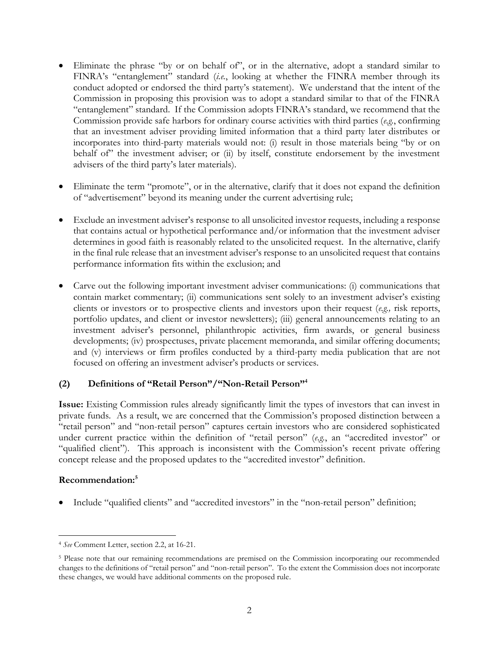- Eliminate the phrase "by or on behalf of", or in the alternative, adopt a standard similar to FINRA's "entanglement" standard (*i.e.*, looking at whether the FINRA member through its conduct adopted or endorsed the third party's statement). We understand that the intent of the Commission in proposing this provision was to adopt a standard similar to that of the FINRA "entanglement" standard.If the Commission adopts FINRA's standard, we recommend that the Commission provide safe harbors for ordinary course activities with third parties (*e.g.*, confirming that an investment adviser providing limited information that a third party later distributes or incorporates into third-party materials would not: (i) result in those materials being "by or on behalf of the investment adviser; or (ii) by itself, constitute endorsement by the investment advisers of the third party's later materials).
- Eliminate the term "promote", or in the alternative, clarify that it does not expand the definition of "advertisement" beyond its meaning under the current advertising rule;
- Exclude an investment adviser's response to all unsolicited investor requests, including a response that contains actual or hypothetical performance and/or information that the investment adviser determines in good faith is reasonably related to the unsolicited request. In the alternative, clarify in the final rule release that an investment adviser's response to an unsolicited request that contains performance information fits within the exclusion; and
- Carve out the following important investment adviser communications: (i) communications that contain market commentary; (ii) communications sent solely to an investment adviser's existing clients or investors or to prospective clients and investors upon their request (*e.g.,* risk reports, portfolio updates, and client or investor newsletters); (iii) general announcements relating to an investment adviser's personnel, philanthropic activities, firm awards, or general business developments; (iv) prospectuses, private placement memoranda, and similar offering documents; and (v) interviews or firm profiles conducted by a third-party media publication that are not focused on offering an investment adviser's products or services.

## **(2) Definitions of "Retail Person"/"Non-Retail Person"<sup>4</sup>**

**Issue:** Existing Commission rules already significantly limit the types of investors that can invest in private funds. As a result, we are concerned that the Commission's proposed distinction between a "retail person" and "non-retail person" captures certain investors who are considered sophisticated under current practice within the definition of "retail person" (*e.g.*, an "accredited investor" or "qualified client"). This approach is inconsistent with the Commission's recent private offering concept release and the proposed updates to the "accredited investor" definition.

## **Recommendation: 5**

Include "qualified clients" and "accredited investors" in the "non-retail person" definition;

l <sup>4</sup> *See* Comment Letter, section 2.2, at 16-21.

<sup>5</sup> Please note that our remaining recommendations are premised on the Commission incorporating our recommended changes to the definitions of "retail person" and "non-retail person". To the extent the Commission does not incorporate these changes, we would have additional comments on the proposed rule.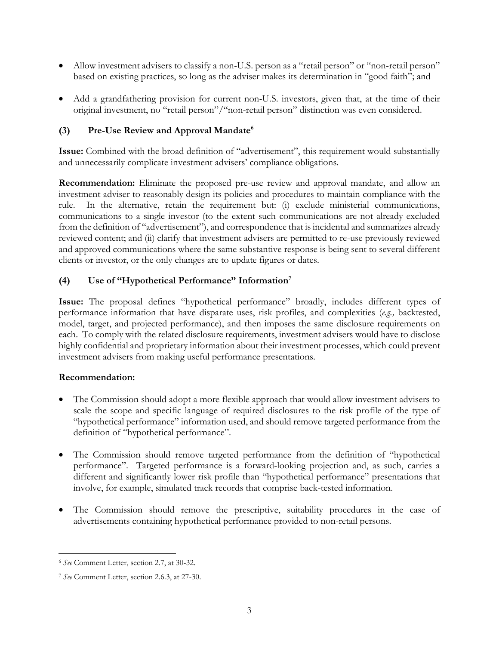- Allow investment advisers to classify a non-U.S. person as a "retail person" or "non-retail person" based on existing practices, so long as the adviser makes its determination in "good faith"; and
- Add a grandfathering provision for current non-U.S. investors, given that, at the time of their original investment, no "retail person"/"non-retail person" distinction was even considered.

# **(3) Pre-Use Review and Approval Mandate<sup>6</sup>**

**Issue:** Combined with the broad definition of "advertisement", this requirement would substantially and unnecessarily complicate investment advisers' compliance obligations.

**Recommendation:** Eliminate the proposed pre-use review and approval mandate, and allow an investment adviser to reasonably design its policies and procedures to maintain compliance with the rule. In the alternative, retain the requirement but: (i) exclude ministerial communications, communications to a single investor (to the extent such communications are not already excluded from the definition of "advertisement"), and correspondence that is incidental and summarizes already reviewed content; and (ii) clarify that investment advisers are permitted to re-use previously reviewed and approved communications where the same substantive response is being sent to several different clients or investor, or the only changes are to update figures or dates.

# **(4) Use of "Hypothetical Performance" Information<sup>7</sup>**

**Issue:** The proposal defines "hypothetical performance" broadly, includes different types of performance information that have disparate uses, risk profiles, and complexities (*e.g.,* backtested, model, target, and projected performance), and then imposes the same disclosure requirements on each. To comply with the related disclosure requirements, investment advisers would have to disclose highly confidential and proprietary information about their investment processes, which could prevent investment advisers from making useful performance presentations.

## **Recommendation:**

- The Commission should adopt a more flexible approach that would allow investment advisers to scale the scope and specific language of required disclosures to the risk profile of the type of "hypothetical performance" information used, and should remove targeted performance from the definition of "hypothetical performance".
- The Commission should remove targeted performance from the definition of "hypothetical performance". Targeted performance is a forward-looking projection and, as such, carries a different and significantly lower risk profile than "hypothetical performance" presentations that involve, for example, simulated track records that comprise back-tested information.
- The Commission should remove the prescriptive, suitability procedures in the case of advertisements containing hypothetical performance provided to non-retail persons.

 $\overline{\phantom{a}}$ 

<sup>6</sup> *See* Comment Letter, section 2.7, at 30-32.

<sup>7</sup> *See* Comment Letter, section 2.6.3, at 27-30.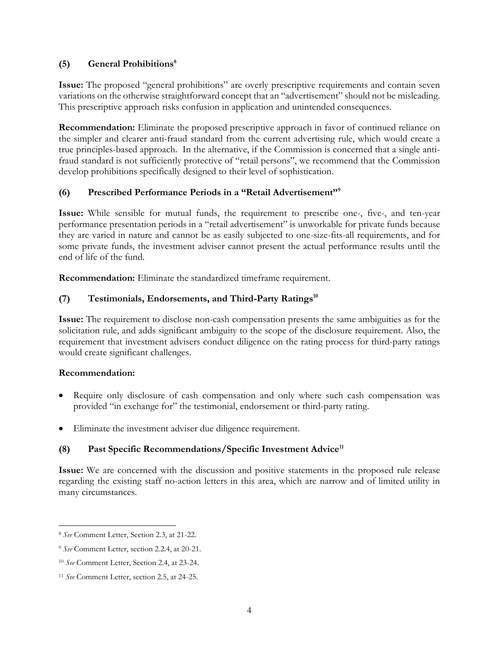## **(5) General Prohibitions<sup>8</sup>**

**Issue:** The proposed "general prohibitions" are overly prescriptive requirements and contain seven variations on the otherwise straightforward concept that an "advertisement" should not be misleading. This prescriptive approach risks confusion in application and unintended consequences.

**Recommendation:** Eliminate the proposed prescriptive approach in favor of continued reliance on the simpler and clearer anti-fraud standard from the current advertising rule, which would create a true principles-based approach. In the alternative, if the Commission is concerned that a single antifraud standard is not sufficiently protective of "retail persons", we recommend that the Commission develop prohibitions specifically designed to their level of sophistication.

# **(6) Prescribed Performance Periods in a "Retail Advertisement"<sup>9</sup>**

**Issue:** While sensible for mutual funds, the requirement to prescribe one-, five-, and ten-year performance presentation periods in a "retail advertisement" is unworkable for private funds because they are varied in nature and cannot be as easily subjected to one-size-fits-all requirements, and for some private funds, the investment adviser cannot present the actual performance results until the end of life of the fund.

**Recommendation:** Eliminate the standardized timeframe requirement.

# **(7) Testimonials, Endorsements, and Third-Party Ratings<sup>10</sup>**

**Issue:** The requirement to disclose non-cash compensation presents the same ambiguities as for the solicitation rule, and adds significant ambiguity to the scope of the disclosure requirement. Also, the requirement that investment advisers conduct diligence on the rating process for third-party ratings would create significant challenges.

## **Recommendation:**

- Require only disclosure of cash compensation and only where such cash compensation was provided "in exchange for" the testimonial, endorsement or third-party rating.
- Eliminate the investment adviser due diligence requirement.

# **(8) Past Specific Recommendations/Specific Investment Advice<sup>11</sup>**

**Issue:** We are concerned with the discussion and positive statements in the proposed rule release regarding the existing staff no-action letters in this area, which are narrow and of limited utility in many circumstances.

l <sup>8</sup> *See* Comment Letter, Section 2.3, at 21-22.

<sup>9</sup> *See* Comment Letter, section 2.2.4, at 20-21.

<sup>10</sup> *See* Comment Letter, Section 2.4, at 23-24.

<sup>11</sup> *See* Comment Letter, section 2.5, at 24-25.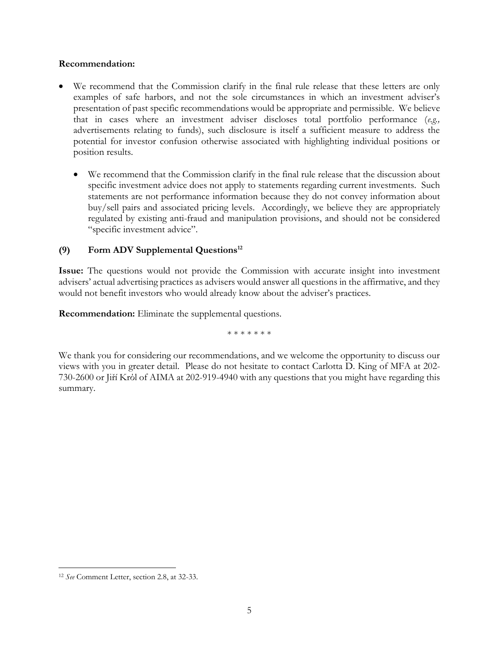#### **Recommendation:**

- We recommend that the Commission clarify in the final rule release that these letters are only examples of safe harbors, and not the sole circumstances in which an investment adviser's presentation of past specific recommendations would be appropriate and permissible. We believe that in cases where an investment adviser discloses total portfolio performance (*e.g.,* advertisements relating to funds), such disclosure is itself a sufficient measure to address the potential for investor confusion otherwise associated with highlighting individual positions or position results.
	- We recommend that the Commission clarify in the final rule release that the discussion about specific investment advice does not apply to statements regarding current investments. Such statements are not performance information because they do not convey information about buy/sell pairs and associated pricing levels. Accordingly, we believe they are appropriately regulated by existing anti-fraud and manipulation provisions, and should not be considered "specific investment advice".

# **(9) Form ADV Supplemental Questions<sup>12</sup>**

**Issue:** The questions would not provide the Commission with accurate insight into investment advisers' actual advertising practices as advisers would answer all questions in the affirmative, and they would not benefit investors who would already know about the adviser's practices.

**Recommendation:** Eliminate the supplemental questions.

\* \* \* \* \* \* \*

We thank you for considering our recommendations, and we welcome the opportunity to discuss our views with you in greater detail. Please do not hesitate to contact Carlotta D. King of MFA at 202- 730-2600 or Jiří Krόl of AIMA at 202-919-4940 with any questions that you might have regarding this summary.

 $\overline{a}$ 

<sup>12</sup> *See* Comment Letter, section 2.8, at 32-33.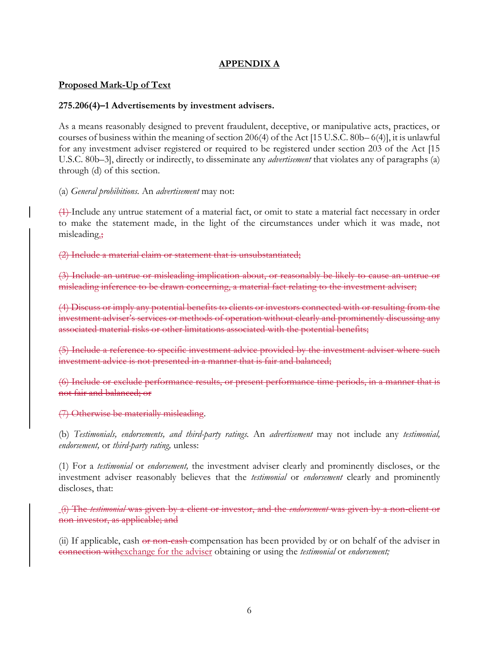## **APPENDIX A**

## **Proposed Mark-Up of Text**

#### **275.206(4)–1 Advertisements by investment advisers.**

As a means reasonably designed to prevent fraudulent, deceptive, or manipulative acts, practices, or courses of business within the meaning of section 206(4) of the Act [15 U.S.C. 80b– 6(4)], it is unlawful for any investment adviser registered or required to be registered under section 203 of the Act [15 U.S.C. 80b–3], directly or indirectly, to disseminate any *advertisement* that violates any of paragraphs (a) through (d) of this section.

(a) *General prohibitions.* An *advertisement* may not:

(1) Include any untrue statement of a material fact, or omit to state a material fact necessary in order to make the statement made, in the light of the circumstances under which it was made, not misleading.;

(2) Include a material claim or statement that is unsubstantiated;

(3) Include an untrue or misleading implication about, or reasonably be likely to cause an untrue or misleading inference to be drawn concerning, a material fact relating to the investment adviser;

(4) Discuss or imply any potential benefits to clients or investors connected with or resulting from the investment adviser's services or methods of operation without clearly and prominently discussing any associated material risks or other limitations associated with the potential benefits;

(5) Include a reference to specific investment advice provided by the investment adviser where such investment advice is not presented in a manner that is fair and balanced;

(6) Include or exclude performance results, or present performance time periods, in a manner that is not fair and balanced; or

(7) Otherwise be materially misleading.

(b) *Testimonials, endorsements, and third-party ratings.* An *advertisement* may not include any *testimonial, endorsement,* or *third-party rating,* unless:

(1) For a *testimonial* or *endorsement,* the investment adviser clearly and prominently discloses, or the investment adviser reasonably believes that the *testimonial* or *endorsement* clearly and prominently discloses, that:

(i) The *testimonial* was given by a client or investor, and the *endorsement* was given by a non-client or non-investor, as applicable; and

(ii) If applicable, cash or non-cash compensation has been provided by or on behalf of the adviser in connection withexchange for the adviser obtaining or using the *testimonial* or *endorsement;*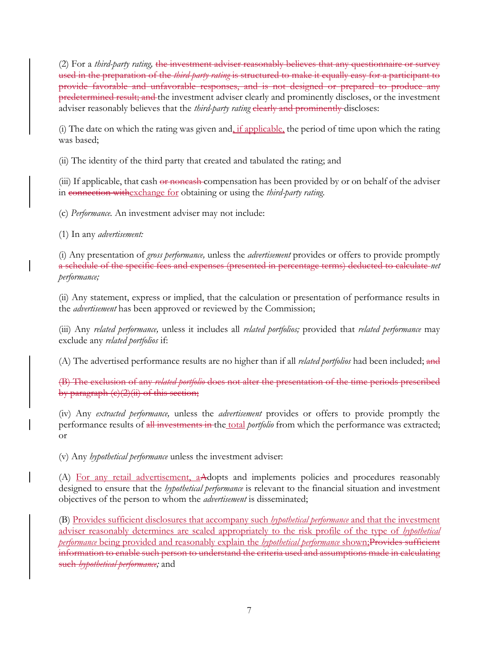(2) For a *third-party rating,* the investment adviser reasonably believes that any questionnaire or survey used in the preparation of the *third-party rating* is structured to make it equally easy for a participant to provide favorable and unfavorable responses, and is not designed or prepared to produce any predetermined result; and the investment adviser clearly and prominently discloses, or the investment adviser reasonably believes that the *third-party rating* clearly and prominently discloses:

(i) The date on which the rating was given and, if applicable, the period of time upon which the rating was based;

(ii) The identity of the third party that created and tabulated the rating; and

(iii) If applicable, that cash or noneash compensation has been provided by or on behalf of the adviser in connection withexchange for obtaining or using the *third-party rating.*

(c) *Performance.* An investment adviser may not include:

(1) In any *advertisement:*

(i) Any presentation of *gross performance,* unless the *advertisement* provides or offers to provide promptly a schedule of the specific fees and expenses (presented in percentage terms) deducted to calculate *net performance;*

(ii) Any statement, express or implied, that the calculation or presentation of performance results in the *advertisement* has been approved or reviewed by the Commission;

(iii) Any *related performance,* unless it includes all *related portfolios;* provided that *related performance* may exclude any *related portfolios* if:

(A) The advertised performance results are no higher than if all *related portfolios* had been included; and

(B) The exclusion of any *related portfolio* does not alter the presentation of the time periods prescribed by paragraph  $(e)(2)(ii)$  of this section;

(iv) Any *extracted performance,* unless the *advertisement* provides or offers to provide promptly the performance results of all investments in the total *portfolio* from which the performance was extracted; or

(v) Any *hypothetical performance* unless the investment adviser:

(A) For any retail advertisement, aAdopts and implements policies and procedures reasonably designed to ensure that the *hypothetical performance* is relevant to the financial situation and investment objectives of the person to whom the *advertisement* is disseminated;

(B) Provides sufficient disclosures that accompany such *hypothetical performance* and that the investment adviser reasonably determines are scaled appropriately to the risk profile of the type of *hypothetical performance* being provided and reasonably explain the *hypothetical performance* shown;Provides sufficient information to enable such person to understand the criteria used and assumptions made in calculating such *hypothetical performance;* and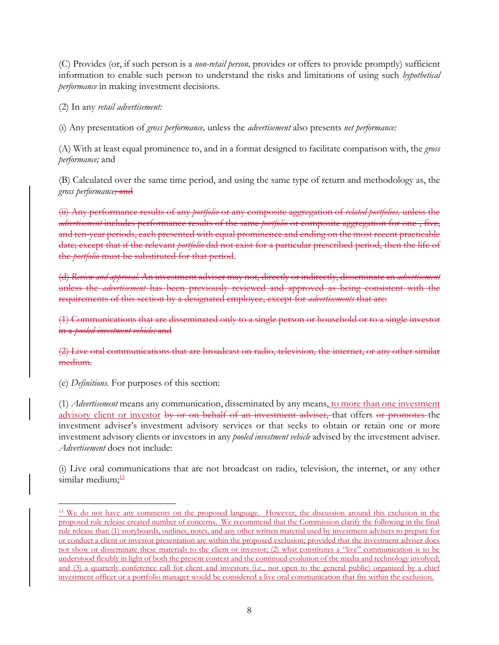(C) Provides (or, if such person is a *non-retail person,* provides or offers to provide promptly) sufficient information to enable such person to understand the risks and limitations of using such *hypothetical performance* in making investment decisions.

(2) In any *retail advertisement:*

(i) Any presentation of *gross performance,* unless the *advertisement* also presents *net performance:*

(A) With at least equal prominence to, and in a format designed to facilitate comparison with, the *gross performance;* and

(B) Calculated over the same time period, and using the same type of return and methodology as, the *gross performance;* and

(ii) Any performance results of any *portfolio* or any composite aggregation of *related portfolios,* unless the *advertisement* includes performance results of the same *portfolio* or composite aggregation for one-, five, and ten-year periods, each presented with equal prominence and ending on the most recent practicable date; except that if the relevant *portfolio* did not exist for a particular prescribed period, then the life of the *portfolio* must be substituted for that period.

(d) *Review and approval.* An investment adviser may not, directly or indirectly, disseminate an *advertisement*  unless the *advertisement* has been previously reviewed and approved as being consistent with the requirements of this section by a designated employee, except for *advertisements* that are:

(1) Communications that are disseminated only to a single person or household or to a single investor in a *pooled investment vehicle;* and

(2) Live oral communications that are broadcast on radio, television, the internet, or any other similar medium.

(e) *Definitions.* For purposes of this section:

(1) *Advertisement* means any communication, disseminated by any means, to more than one investment advisory client or investor by or on behalf of an investment adviser, that offers or promotes the investment adviser's investment advisory services or that seeks to obtain or retain one or more investment advisory clients or investors in any *pooled investment vehicle* advised by the investment adviser. *Advertisement* does not include:

(i) Live oral communications that are not broadcast on radio, television, the internet, or any other similar medium; $\frac{13}{2}$ 

l <sup>13</sup> We do not have any comments on the proposed language. However, the discussion around this exclusion in the proposed rule release created number of concerns. We recommend that the Commission clarify the following in the final rule release that: (1) storyboards, outlines, notes, and any other written material used by investment advisers to prepare for or conduct a client or investor presentation are within the proposed exclusion; provided that the investment adviser does not show or disseminate these materials to the client or investor; (2) what constitutes a "live" communication is to be understood flexibly in light of both the present context and the continued evolution of the media and technology involved; and (3) a quarterly conference call for client and investors (i.e., not open to the general public) organized by a chief investment officer or a portfolio manager would be considered a live oral communication that fits within the exclusion.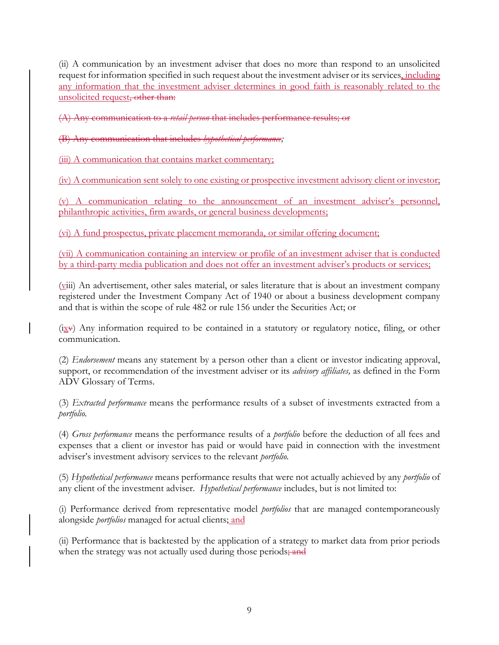(ii) A communication by an investment adviser that does no more than respond to an unsolicited request for information specified in such request about the investment adviser or its services, including any information that the investment adviser determines in good faith is reasonably related to the unsolicited request, other than:

(A) Any communication to a *retail person* that includes performance results; or

(B) Any communication that includes *hypothetical performance;*

(iii) A communication that contains market commentary;

(iv) A communication sent solely to one existing or prospective investment advisory client or investor;

(v) A communication relating to the announcement of an investment adviser's personnel, philanthropic activities, firm awards, or general business developments;

(vi) A fund prospectus, private placement memoranda, or similar offering document;

(vii) A communication containing an interview or profile of an investment adviser that is conducted by a third-party media publication and does not offer an investment adviser's products or services;

(viii) An advertisement, other sales material, or sales literature that is about an investment company registered under the Investment Company Act of 1940 or about a business development company and that is within the scope of rule 482 or rule 156 under the Securities Act; or

 $(ix·)$  Any information required to be contained in a statutory or regulatory notice, filing, or other communication.

(2) *Endorsement* means any statement by a person other than a client or investor indicating approval, support, or recommendation of the investment adviser or its *advisory affiliates,* as defined in the Form ADV Glossary of Terms.

(3) *Extracted performance* means the performance results of a subset of investments extracted from a *portfolio.*

(4) *Gross performance* means the performance results of a *portfolio* before the deduction of all fees and expenses that a client or investor has paid or would have paid in connection with the investment adviser's investment advisory services to the relevant *portfolio.*

(5) *Hypothetical performance* means performance results that were not actually achieved by any *portfolio* of any client of the investment adviser. *Hypothetical performance* includes, but is not limited to:

(i) Performance derived from representative model *portfolios* that are managed contemporaneously alongside *portfolios* managed for actual clients; and

(ii) Performance that is backtested by the application of a strategy to market data from prior periods when the strategy was not actually used during those periods; and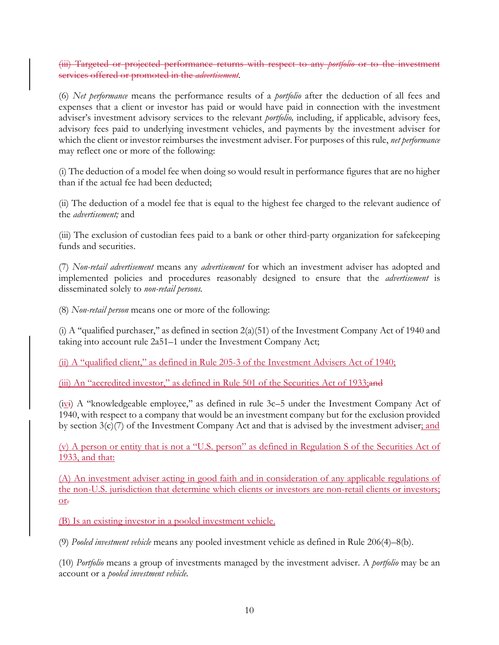(iii) Targeted or projected performance returns with respect to any *portfolio* or to the investment services offered or promoted in the *advertisement.*

(6) *Net performance* means the performance results of a *portfolio* after the deduction of all fees and expenses that a client or investor has paid or would have paid in connection with the investment adviser's investment advisory services to the relevant *portfolio,* including, if applicable, advisory fees, advisory fees paid to underlying investment vehicles, and payments by the investment adviser for which the client or investor reimburses the investment adviser. For purposes of this rule, *net performance*  may reflect one or more of the following:

(i) The deduction of a model fee when doing so would result in performance figures that are no higher than if the actual fee had been deducted;

(ii) The deduction of a model fee that is equal to the highest fee charged to the relevant audience of the *advertisement;* and

(iii) The exclusion of custodian fees paid to a bank or other third-party organization for safekeeping funds and securities.

(7) *Non-retail advertisement* means any *advertisement* for which an investment adviser has adopted and implemented policies and procedures reasonably designed to ensure that the *advertisement* is disseminated solely to *non-retail persons.*

(8) *Non-retail person* means one or more of the following:

(i) A "qualified purchaser," as defined in section  $2(a)(51)$  of the Investment Company Act of 1940 and taking into account rule 2a51–1 under the Investment Company Act;

(ii) A "qualified client," as defined in Rule 205-3 of the Investment Advisers Act of 1940;

 $(iii)$  An "accredited investor," as defined in Rule 501 of the Securities Act of 1933; and

(ivi) A ''knowledgeable employee,'' as defined in rule 3c–5 under the Investment Company Act of 1940, with respect to a company that would be an investment company but for the exclusion provided by section  $3(c)/7$  of the Investment Company Act and that is advised by the investment adviser; and

(v) A person or entity that is not a "U.S. person" as defined in Regulation S of the Securities Act of 1933, and that:

(A) An investment adviser acting in good faith and in consideration of any applicable regulations of the non-U.S. jurisdiction that determine which clients or investors are non-retail clients or investors; or.

(B) Is an existing investor in a pooled investment vehicle.

(9) *Pooled investment vehicle* means any pooled investment vehicle as defined in Rule 206(4)–8(b).

(10) *Portfolio* means a group of investments managed by the investment adviser. A *portfolio* may be an account or a *pooled investment vehicle.*